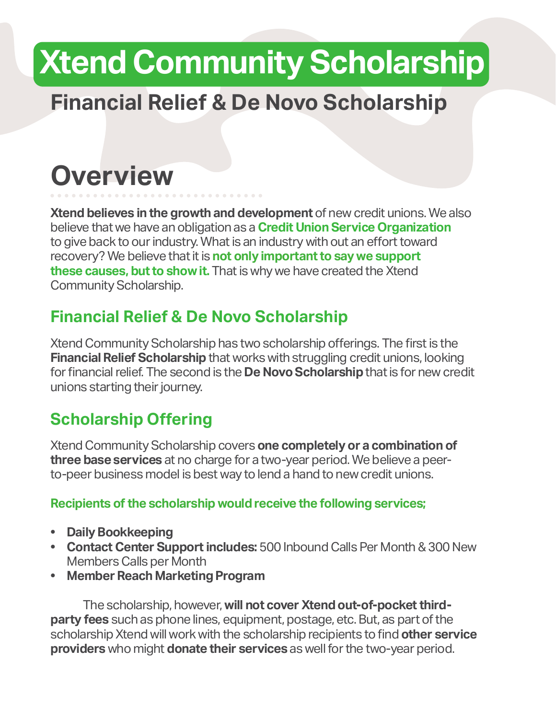# **Xtend Community Scholarship**

## **Financial Relief & De Novo Scholarship**

## **Overview**

**Xtend believes in the growth and development** of new credit unions. We also believe that we have an obligation as a **Credit Union Service Organization** to give back to our industry. What is an industry with out an effort toward recovery? We believe that it is **not only important to say we support these causes, but to show it.** That is why we have created the Xtend Community Scholarship.

## **Financial Relief & De Novo Scholarship**

Xtend Community Scholarship has two scholarship offerings. The first is the **Financial Relief Scholarship** that works with struggling credit unions, looking for financial relief. The second is the **De Novo Scholarship** that is for new credit unions starting their journey.

## **Scholarship Offering**

Xtend Community Scholarship covers **one completely or a combination of three base services** at no charge for a two-year period. We believe a peerto-peer business model is best way to lend a hand to new credit unions.

#### **Recipients of the scholarship would receive the following services;**

- **• Daily Bookkeeping**
- **• Contact Center Support includes:** 500 Inbound Calls Per Month & 300 New Members Calls per Month
- **• Member Reach Marketing Program**

The scholarship, however, **will not cover Xtend out-of-pocket thirdparty fees** such as phone lines, equipment, postage, etc. But, as part of the scholarship Xtend will work with the scholarship recipients to find **other service providers** who might **donate their services** as well for the two-year period.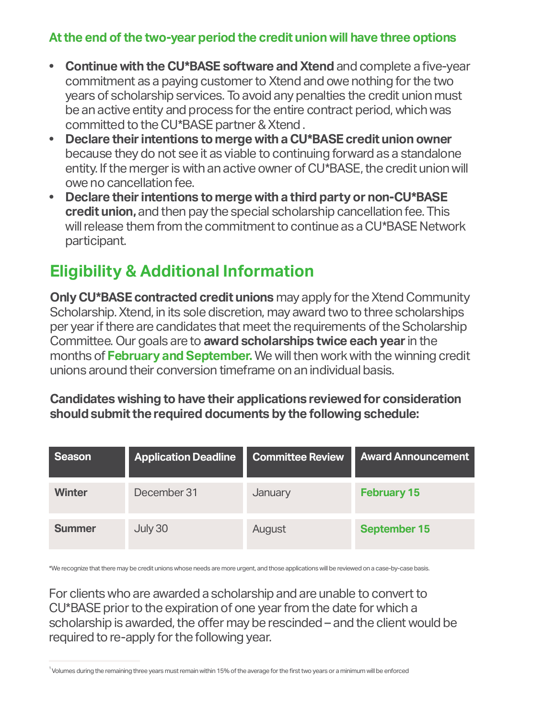#### **At the end of the two-year period the credit union will have three options**

- **• Continue with the CU\*BASE software and Xtend** and complete a five-year commitment as a paying customer to Xtend and owe nothing for the two years of scholarship services. To avoid any penalties the credit union must be an active entity and process for the entire contract period, which was committed to the CU\*BASE partner & Xtend .
- **• Declare their intentions to merge with a CU\*BASE credit union owner** because they do not see it as viable to continuing forward as a standalone entity. If the merger is with an active owner of CU\*BASE, the credit union will owe no cancellation fee.
- **• Declare their intentions to merge with a third party or non-CU\*BASE credit union,** and then pay the special scholarship cancellation fee. This will release them from the commitment to continue as a CU\*BASE Network participant.

### **Eligibility & Additional Information**

**Only CU\*BASE contracted credit unions** may apply for the Xtend Community Scholarship. Xtend, in its sole discretion, may award two to three scholarships per year if there are candidates that meet the requirements of the Scholarship Committee. Our goals are to **award scholarships twice each year** in the months of **February and September.** We will then work with the winning credit unions around their conversion timeframe on an individual basis.

**Candidates wishing to have their applications reviewed for consideration should submit the required documents by the following schedule:**

| Season        | <b>Application Deadline</b> | <b>Committee Review</b> | <b>Award Announcement</b> |
|---------------|-----------------------------|-------------------------|---------------------------|
| <b>Winter</b> | December 31                 | January                 | <b>February 15</b>        |
| <b>Summer</b> | July 30                     | August                  | <b>September 15</b>       |

\*We recognize that there may be credit unions whose needs are more urgent, and those applications will be reviewed on a case-by-case basis.

For clients who are awarded a scholarship and are unable to convert to CU\*BASE prior to the expiration of one year from the date for which a scholarship is awarded, the offer may be rescinded – and the client would be required to re-apply for the following year.

 $\,{}^1$ Volumes during the remaining three years must remain within 15% of the average for the first two years or a minimum will be enforced